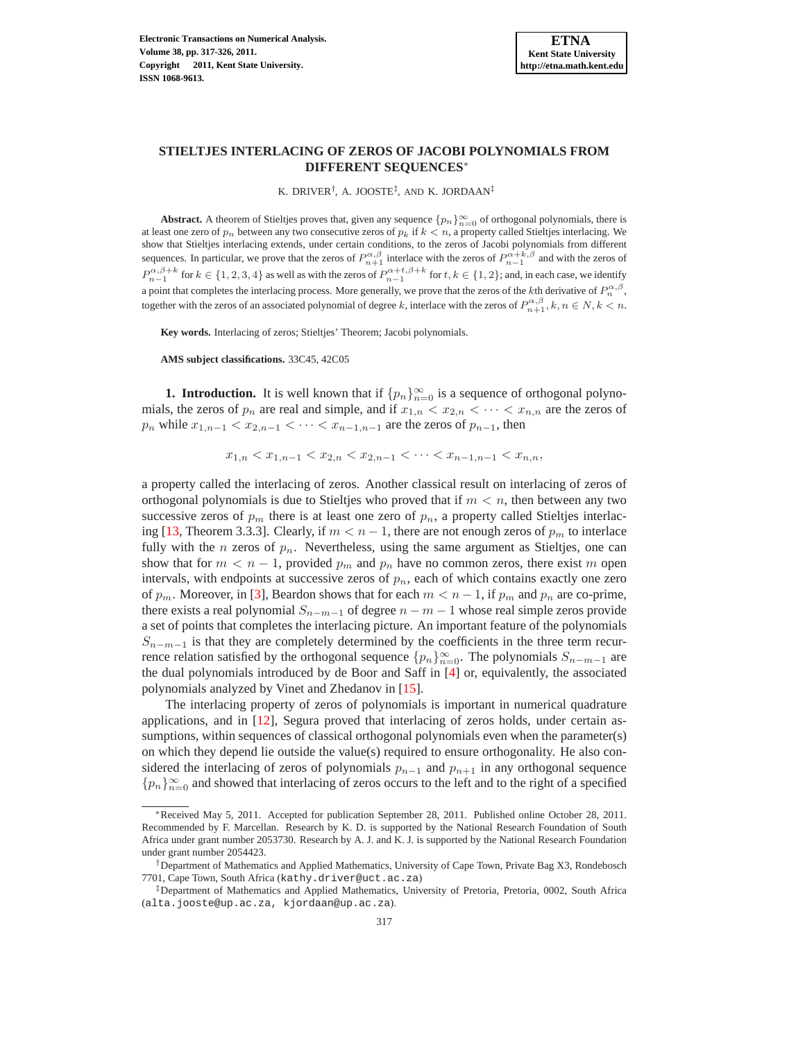# **STIELTJES INTERLACING OF ZEROS OF JACOBI POLYNOMIALS FROM DIFFERENT SEQUENCES**<sup>∗</sup>

K. DRIVER† , A. JOOSTE‡ , AND K. JORDAAN‡

**Abstract.** A theorem of Stieltjes proves that, given any sequence  $\{p_n\}_{n=0}^{\infty}$  of orthogonal polynomials, there is at least one zero of  $p_n$  between any two consecutive zeros of  $p_k$  if  $k < n$ , a property called Stieltjes interlacing. We show that Stieltjes interlacing extends, under certain conditions, to the zeros of Jacobi polynomials from different sequences. In particular, we prove that the zeros of  $P_{n+1}^{\alpha,\beta}$  interlace with the zeros of  $P_{n-1}^{\alpha+k,\beta}$  and with the zeros of  $P_{n-1}^{\alpha,\beta+k}$  for  $k \in \{1,2,3,4\}$  as well as with the zeros of  $P_{n-1}^{\alpha+t,\beta+k}$  for  $t, k \in \{1,2\}$ ; and, in each case, we identify a point that completes the interlacing process. More generally, we prove that the zeros of the *k*th derivative of  $P_n^{\alpha,\beta}$ , together with the zeros of an associated polynomial of degree k, interlace with the zeros of  $P_{n+1}^{\alpha,\beta}, k, n \in N, k < n$ .

**Key words.** Interlacing of zeros; Stieltjes' Theorem; Jacobi polynomials.

**AMS subject classifications.** 33C45, 42C05

**1. Introduction.** It is well known that if  $\{p_n\}_{n=0}^{\infty}$  is a sequence of orthogonal polynomials, the zeros of  $p_n$  are real and simple, and if  $x_{1,n} < x_{2,n} < \cdots < x_{n,n}$  are the zeros of  $p_n$  while  $x_{1,n-1} < x_{2,n-1} < \cdots < x_{n-1,n-1}$  are the zeros of  $p_{n-1}$ , then

$$
x_{1,n} < x_{1,n-1} < x_{2,n} < x_{2,n-1} < \cdots < x_{n-1,n-1} < x_{n,n},
$$

a property called the interlacing of zeros. Another classical result on interlacing of zeros of orthogonal polynomials is due to Stieltjes who proved that if  $m < n$ , then between any two successive zeros of  $p_m$  there is at least one zero of  $p_n$ , a property called Stieltjes interlac-ing [\[13](#page-9-0), Theorem 3.3.3]. Clearly, if  $m < n - 1$ , there are not enough zeros of  $p_m$  to interlace fully with the *n* zeros of  $p_n$ . Nevertheless, using the same argument as Stieltjes, one can show that for  $m < n - 1$ , provided  $p_m$  and  $p_n$  have no common zeros, there exist m open intervals, with endpoints at successive zeros of  $p_n$ , each of which contains exactly one zero of  $p_m$ . Moreover, in [\[3\]](#page-8-0), Beardon shows that for each  $m < n - 1$ , if  $p_m$  and  $p_n$  are co-prime, there exists a real polynomial  $S_{n-m-1}$  of degree  $n-m-1$  whose real simple zeros provide a set of points that completes the interlacing picture. An important feature of the polynomials  $S_{n-m-1}$  is that they are completely determined by the coefficients in the three term recurrence relation satisfied by the orthogonal sequence  $\{p_n\}_{n=0}^{\infty}$ . The polynomials  $S_{n-m-1}$  are the dual polynomials introduced by de Boor and Saff in [\[4\]](#page-8-1) or, equivalently, the associated polynomials analyzed by Vinet and Zhedanov in [\[15\]](#page-9-1).

The interlacing property of zeros of polynomials is important in numerical quadrature applications, and in [\[12\]](#page-9-2), Segura proved that interlacing of zeros holds, under certain assumptions, within sequences of classical orthogonal polynomials even when the parameter(s) on which they depend lie outside the value(s) required to ensure orthogonality. He also considered the interlacing of zeros of polynomials  $p_{n-1}$  and  $p_{n+1}$  in any orthogonal sequence  ${p_n}_{n=0}^{\infty}$  and showed that interlacing of zeros occurs to the left and to the right of a specified

<sup>∗</sup>Received May 5, 2011. Accepted for publication September 28, 2011. Published online October 28, 2011. Recommended by F. Marcellan. Research by K. D. is supported by the National Research Foundation of South Africa under grant number 2053730. Research by A. J. and K. J. is supported by the National Research Foundation under grant number 2054423.

<sup>†</sup>Department of Mathematics and Applied Mathematics, University of Cape Town, Private Bag X3, Rondebosch 7701, Cape Town, South Africa (kathy.driver@uct.ac.za)

<sup>‡</sup>Department of Mathematics and Applied Mathematics, University of Pretoria, Pretoria, 0002, South Africa (alta.jooste@up.ac.za, kjordaan@up.ac.za).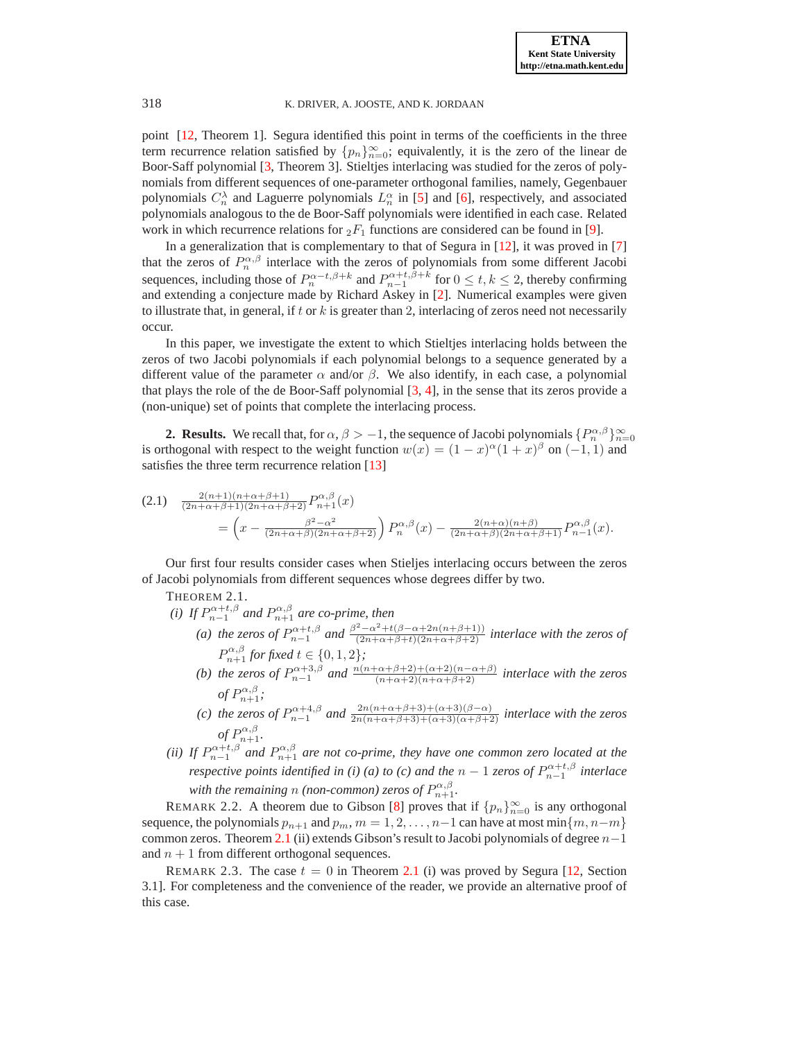point [\[12,](#page-9-2) Theorem 1]. Segura identified this point in terms of the coefficients in the three term recurrence relation satisfied by  $\{p_n\}_{n=0}^{\infty}$ ; equivalently, it is the zero of the linear de Boor-Saff polynomial [\[3](#page-8-0), Theorem 3]. Stieltjes interlacing was studied for the zeros of polynomials from different sequences of one-parameter orthogonal families, namely, Gegenbauer polynomials  $C_n^{\lambda}$  and Laguerre polynomials  $L_n^{\alpha}$  in [\[5\]](#page-9-3) and [\[6](#page-9-4)], respectively, and associated polynomials analogous to the de Boor-Saff polynomials were identified in each case. Related work in which recurrence relations for  ${}_2F_1$  functions are considered can be found in [\[9\]](#page-9-5).

In a generalization that is complementary to that of Segura in [\[12](#page-9-2)], it was proved in [\[7\]](#page-9-6) that the zeros of  $P_n^{\alpha,\beta}$  interlace with the zeros of polynomials from some different Jacobi sequences, including those of  $P_n^{\alpha-t,\beta+k}$  and  $P_{n-1}^{\alpha+t,\beta+k}$  for  $0 \le t, k \le 2$ , thereby confirming and extending a conjecture made by Richard Askey in [\[2\]](#page-8-2). Numerical examples were given to illustrate that, in general, if t or  $k$  is greater than 2, interlacing of zeros need not necessarily occur.

In this paper, we investigate the extent to which Stieltjes interlacing holds between the zeros of two Jacobi polynomials if each polynomial belongs to a sequence generated by a different value of the parameter  $\alpha$  and/or  $\beta$ . We also identify, in each case, a polynomial that plays the role of the de Boor-Saff polynomial [\[3](#page-8-0), [4](#page-8-1)], in the sense that its zeros provide a (non-unique) set of points that complete the interlacing process.

**2. Results.** We recall that, for  $\alpha$ ,  $\beta > -1$ , the sequence of Jacobi polynomials  $\{P_n^{\alpha,\beta}\}_{n=0}^{\infty}$ is orthogonal with respect to the weight function  $w(x) = (1-x)^{\alpha}(1+x)^{\beta}$  on  $(-1,1)$  and satisfies the three term recurrence relation [\[13\]](#page-9-0)

<span id="page-1-1"></span>
$$
(2.1) \frac{2(n+1)(n+\alpha+\beta+1)}{(2n+\alpha+\beta+1)(2n+\alpha+\beta+2)} P_{n+1}^{\alpha,\beta}(x)
$$
  
= 
$$
\left(x - \frac{\beta^2 - \alpha^2}{(2n+\alpha+\beta)(2n+\alpha+\beta+2)}\right) P_n^{\alpha,\beta}(x) - \frac{2(n+\alpha)(n+\beta)}{(2n+\alpha+\beta)(2n+\alpha+\beta+1)} P_{n-1}^{\alpha,\beta}(x).
$$

<span id="page-1-0"></span>Our first four results consider cases when Stieljes interlacing occurs between the zeros of Jacobi polynomials from different sequences whose degrees differ by two.

THEOREM 2.1.

*(i)* If  $P_{n-1}^{\alpha+t,\beta}$  and  $P_{n+1}^{\alpha,\beta}$  are co-prime, then

- (a) the zeros of  $P_{n-1}^{\alpha+t,\beta}$  and  $\frac{\beta^2-\alpha^2+t(\beta-\alpha+2n(n+\beta+1))}{(2n+\alpha+\beta+t)(2n+\alpha+\beta+2)}$  interlace with the zeros of  $P_{n+1}^{\alpha,\beta}$  for fixed  $t \in \{0,1,2\}$ ;
- *(b)* the zeros of  $P_{n-1}^{\alpha+3,\beta}$  and  $\frac{n(n+\alpha+\beta+2)+(\alpha+2)(n-\alpha+\beta)}{(n+\alpha+2)(n+\alpha+\beta+2)}$  interlace with the zeros  $\alpha \in \mathbb{R}^{n,\beta}$ . *of*  $P_{n+1}^{\alpha,\beta}$ ;
- (c) the zeros of  $P_{n-1}^{\alpha+4,\beta}$  and  $\frac{2n(n+\alpha+\beta+3)+(\alpha+3)(\beta-\alpha)}{2n(n+\alpha+\beta+3)+(\alpha+3)(\alpha+\beta+2)}$  *interlace with the zeros* of  $P_{n+1}^{\alpha,\beta}$ .
- *(ii)* If  $P_{n-1}^{\alpha+t,\beta}$  and  $P_{n+1}^{\alpha,\beta}$  are not co-prime, they have one common zero located at the *respective points identified in (i) (a) to (c) and the*  $n-1$  *zeros of*  $P_{n-1}^{\alpha+t,\beta}$  *interlace* with the remaining n (non-common) zeros of  $P_{n+1}^{\alpha,\beta}$ .

REMARK 2.2. A theorem due to Gibson [\[8](#page-9-7)] proves that if  $\{p_n\}_{n=0}^{\infty}$  is any orthogonal sequence, the polynomials  $p_{n+1}$  and  $p_m$ ,  $m = 1, 2, \ldots, n-1$  can have at most min $\{m, n-m\}$ common zeros. Theorem [2.1](#page-1-0) (ii) extends Gibson's result to Jacobi polynomials of degree  $n-1$ and  $n + 1$  from different orthogonal sequences.

REMARK 2.3. The case  $t = 0$  in Theorem [2.1](#page-1-0) (i) was proved by Segura [\[12](#page-9-2), Section 3.1]. For completeness and the convenience of the reader, we provide an alternative proof of this case.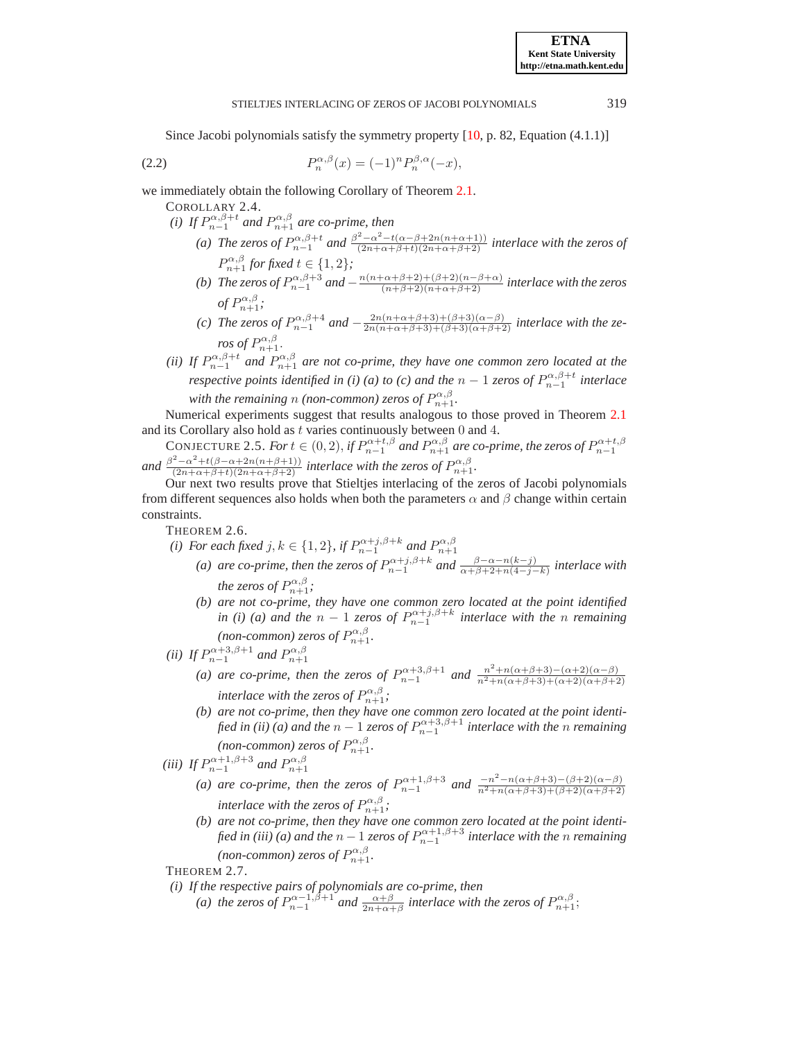## <span id="page-2-1"></span>STIELTJES INTERLACING OF ZEROS OF JACOBI POLYNOMIALS 319

Since Jacobi polynomials satisfy the symmetry property [\[10](#page-9-8), p. 82, Equation (4.1.1)]

(2.2) 
$$
P_n^{\alpha,\beta}(x) = (-1)^n P_n^{\beta,\alpha}(-x),
$$

we immediately obtain the following Corollary of Theorem [2.1.](#page-1-0)

COROLLARY 2.4.

- *(i)* If  $P_{n-1}^{\alpha,\beta+t}$  and  $P_{n+1}^{\alpha,\beta}$  are co-prime, then
	- (a) The zeros of  $P_{n-1}^{\alpha,\beta+t}$  and  $\frac{\beta^2-\alpha^2-t(\alpha-\beta+2n(n+\alpha+1))}{(2n+\alpha+\beta+t)(2n+\alpha+\beta+2)}$  *interlace with the zeros of*  $P_{n+1}^{\alpha,\beta}$  for fixed  $t \in \{1,2\}$ ;
	- (b) The zeros of  $P_{n-1}^{\alpha,\beta+3}$  and  $-\frac{n(n+\alpha+\beta+2)+( \beta+2)(n-\beta+\alpha)}{(n+\beta+2)(n+\alpha+\beta+2)}$  interlace with the zeros of  $P_{n+1}^{\alpha,\beta}$ ;
	- (c) The zeros of  $P_{n-1}^{\alpha,\beta+4}$  and  $-\frac{2n(n+\alpha+\beta+3)+(3+\beta)(\alpha-\beta)}{2n(n+\alpha+\beta+3)+(\beta+3)(\alpha+\beta+2)}$  interlace with the ze*ros of*  $P_{n+1}^{\alpha,\beta}$ .
- *(ii)* If  $P_{n-1}^{\alpha,\beta+t}$  and  $P_{n+1}^{\alpha,\beta}$  are not co-prime, they have one common zero located at the *respective points identified in (i) (a) to (c) and the*  $n-1$  *zeros of*  $P_{n-1}^{\alpha,\beta+t}$  *interlace* with the remaining n (non-common) zeros of  $P_{n+1}^{\alpha,\beta}$ .

Numerical experiments suggest that results analogous to those proved in Theorem [2.1](#page-1-0) and its Corollary also hold as  $t$  varies continuously between  $0$  and  $4$ .

CONJECTURE 2.5. For  $t \in (0, 2)$ , if  $P_{n-1}^{\alpha+t,\beta}$  and  $P_{n+1}^{\alpha,\beta}$  are co-prime, the zeros of  $P_{n-1}^{\alpha+t,\beta}$ and  $\frac{\beta^2 - \alpha^2 + t(\beta - \alpha + 2n(n+\beta+1))}{(2n+\alpha+\beta+t)(2n+\alpha+\beta+2)}$  *interlace with the zeros of*  $P_{n+1}^{\alpha,\beta}$ .

Our next two results prove that Stieltjes interlacing of the zeros of Jacobi polynomials from different sequences also holds when both the parameters  $\alpha$  and  $\beta$  change within certain constraints.

<span id="page-2-0"></span>THEOREM 2.6.

*(i)* For each fixed  $j, k \in \{1, 2\}$ , if  $P_{n-1}^{\alpha+j, \beta+k}$  and  $P_{n+1}^{\alpha,\beta}$ 

- (a) are co-prime, then the zeros of  $P_{n-1}^{\alpha+j,\beta+k}$  and  $\frac{\beta-\alpha-n(k-j)}{\alpha+\beta+2+n(4-j-k)}$  interlace with *the zeros of*  $P_{n+1}^{\alpha,\beta}$ ;
- *(b) are not co-prime, they have one common zero located at the point identified in (i)* (*a)* and the  $n-1$  *zeros of*  $P_{n-1}^{\alpha+j,\beta+k}$  *interlace with the n remaining* (non-common) zeros of  $P_{n+1}^{\alpha,\beta}$ .
- (*ii*) If  $P_{n-1}^{\alpha+3,\beta+1}$  and  $P_{n+1}^{\alpha,\beta}$ 
	- (a) are co-prime, then the zeros of  $P_{n-1}^{\alpha+3,\beta+1}$  and  $\frac{n^2+n(\alpha+\beta+3)-(\alpha+2)(\alpha-\beta)}{n^2+n(\alpha+\beta+3)+(\alpha+2)(\alpha+\beta+2)}$  $\frac{n^2+n(\alpha+\beta+3)+(\alpha+2)(\alpha+\beta+2)}{n^2+n(\alpha+\beta+3)}$ *interlace with the zeros of*  $P_{n+1}^{\alpha,\beta}$ ;
	- *(b) are not co-prime, then they have one common zero located at the point identified in (ii)* (a) and the  $n-1$  *zeros of*  $P_{n-1}^{\alpha+3,\beta+1}$  *interlace with the*  $n$  *remaining* (non-common) zeros of  $P_{n+1}^{\alpha,\beta}$ .

(*iii*) If  $P_{n-1}^{\alpha+1,\beta+3}$  and  $P_{n+1}^{\alpha,\beta}$ 

- (*a*) are co-prime, then the zeros of  $P_{n-1}^{\alpha+1,\beta+3}$  and  $\frac{-n^2 n(\alpha+\beta+3) (\beta+2)(\alpha-\beta)}{n^2 + n(\alpha+\beta+3) + (\beta+2)(\alpha+\beta+2)}$  $\frac{n^2+n(\alpha+\beta+3)+(\beta+2)(\alpha+\beta+2)}{n^2+n(\alpha+\beta+3)(\alpha+\beta+2)}$ *interlace with the zeros of*  $P_{n+1}^{\alpha,\beta}$ ;
- *(b) are not co-prime, then they have one common zero located at the point identi*fied in (iii) (a) and the  $n-1$  *zeros of*  $P_{n-1}^{\alpha+1,\beta+3}$  interlace with the  $n$  remaining (non-common) zeros of  $P_{n+1}^{\alpha,\beta}$ .

<span id="page-2-2"></span>THEOREM 2.7.

- *(i) If the respective pairs of polynomials are co-prime, then*
	- (a) the zeros of  $P_{n-1}^{\alpha-1,\beta+1}$  and  $\frac{\alpha+\beta}{2n+\alpha+\beta}$  interlace with the zeros of  $P_{n+1}^{\alpha,\beta}$ ;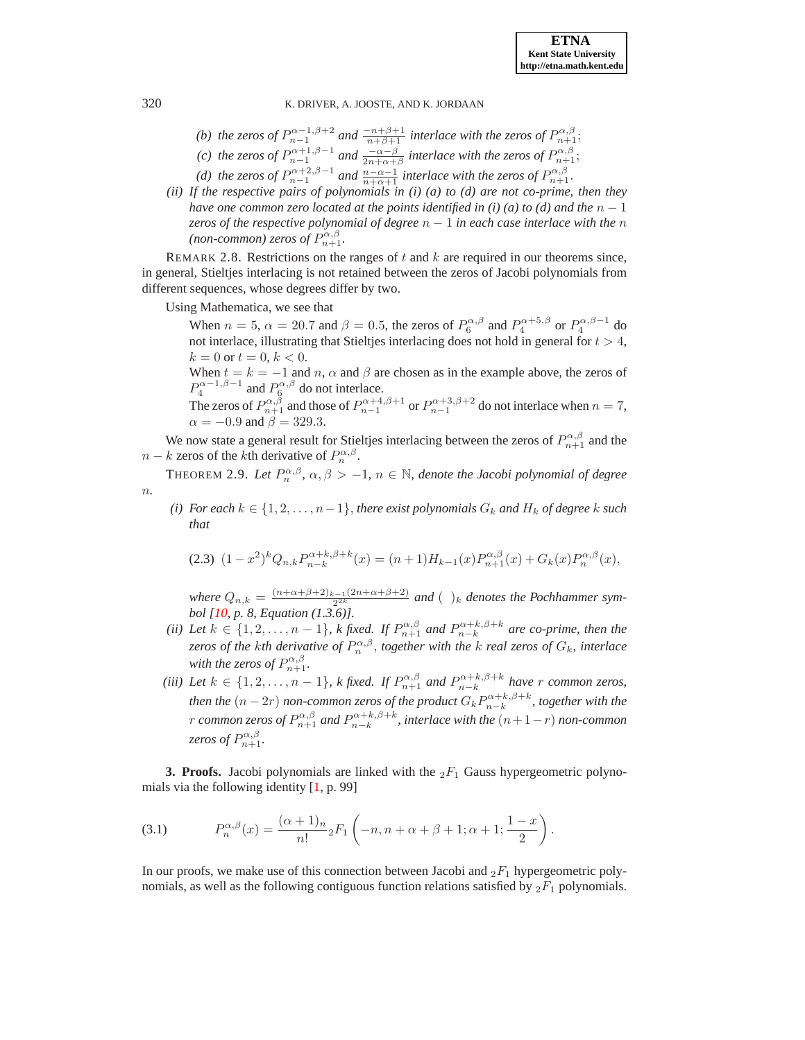- *(b)* the zeros of  $P_{n-1}^{\alpha-1,\beta+2}$  and  $\frac{-n+\beta+1}{n+\beta+1}$  interlace with the zeros of  $P_{n+1}^{\alpha,\beta}$ ;
- *(c)* the zeros of  $P_{n-1}^{\alpha+1,\beta-1}$  and  $\frac{-\alpha-\beta}{2n+\alpha+\beta}$  interlace with the zeros of  $P_{n+1}^{\alpha,\beta}$ ;
- (*d*) the zeros of  $P_{n-1}^{\alpha+2,\beta-1}$  and  $\frac{n-\alpha-1}{n+\alpha+1}$  interlace with the zeros of  $P_{n+1}^{\alpha,\beta}$ .
- *(ii) If the respective pairs of polynomials in (i) (a) to (d) are not co-prime, then they have one common zero located at the points identified in (i) (a) to (d) and the*  $n - 1$ *zeros of the respective polynomial of degree* n − 1 *in each case interlace with the* n  $(non\text{-}common)$  zeros of  $P_{n+1}^{\alpha,\beta}$ .

REMARK 2.8. Restrictions on the ranges of  $t$  and  $k$  are required in our theorems since, in general, Stieltjes interlacing is not retained between the zeros of Jacobi polynomials from different sequences, whose degrees differ by two.

Using Mathematica, we see that

When  $n = 5$ ,  $\alpha = 20.7$  and  $\beta = 0.5$ , the zeros of  $P_6^{\alpha,\beta}$  and  $P_4^{\alpha+5,\beta}$  or  $P_4^{\alpha,\beta-1}$  do not interlace, illustrating that Stieltjes interlacing does not hold in general for  $t > 4$ ,  $k = 0$  or  $t = 0, k < 0$ .

When  $t = k = -1$  and n,  $\alpha$  and  $\beta$  are chosen as in the example above, the zeros of  $P_4^{\alpha-1,\beta-1}$  and  $P_6^{\alpha,\beta}$  do not interlace.

The zeros of  $P_{n+1}^{\alpha,\beta}$  and those of  $P_{n-1}^{\alpha+4,\beta+1}$  or  $P_{n-1}^{\alpha+3,\beta+2}$  do not interlace when  $n=7$ ,  $\alpha = -0.9$  and  $\beta = 329.3$ .

We now state a general result for Stieltjes interlacing between the zeros of  $P_{n+1}^{\alpha,\beta}$  and the  $n - k$  zeros of the kth derivative of  $P_n^{\alpha,\beta}$ .

<span id="page-3-2"></span>**THEOREM 2.9.** Let  $P_n^{\alpha,\beta}$ ,  $\alpha,\beta > -1$ ,  $n \in \mathbb{N}$ , denote the Jacobi polynomial of degree n*.*

*(i)* For each  $k \in \{1, 2, \ldots, n-1\}$ , *there exist polynomials*  $G_k$  *and*  $H_k$  *of degree*  $k$  *such that*

<span id="page-3-3"></span>
$$
(2.3) \ \ (1-x^2)^k Q_{n,k} P_{n-k}^{\alpha+k,\beta+k}(x) = (n+1)H_{k-1}(x) P_{n+1}^{\alpha,\beta}(x) + G_k(x) P_n^{\alpha,\beta}(x),
$$

*where*  $Q_{n,k} = \frac{(n+\alpha+\beta+2)_{k-1}(2n+\alpha+\beta+2)}{2^{2k}}$  $\frac{2^{(n+1)(2n+\alpha+p+2)}}{2^{2k}}$  and  $\left(\right)$ <sub>k</sub> denotes the Pochhammer sym*bol [\[10](#page-9-8), p. 8, Equation (1.3.6)].*

- *(ii)* Let  $k \in \{1, 2, \ldots, n-1\}$ , k fixed. If  $P_{n+1}^{\alpha,\beta}$  and  $P_{n-k}^{\alpha+k,\beta+k}$  are co-prime, then the *zeros of the kth derivative of*  $P_n^{\alpha,\beta}$ , *together with the k real zeros of*  $G_k$ *, interlace* with the zeros of  $P_{n+1}^{\alpha,\beta}$ .
- *(iii)* Let  $k \in \{1, 2, ..., n-1\}$ , k fixed. If  $P_{n+1}^{\alpha,\beta}$  and  $P_{n-k}^{\alpha+k,\beta+k}$  have r common zeros, *then the*  $(n-2r)$  *non-common zeros of the product*  $G_k P_{n-k}^{\alpha+k,\beta+k}$ *, together with the* r common zeros of  $P_{n+1}^{\alpha,\beta}$  and  $P_{n-k}^{\alpha+k,\beta+k}$ , interlace with the  $(n+1-r)$  non-common *zeros of*  $P_{n+1}^{\alpha,\beta}$ .

**3. Proofs.** Jacobi polynomials are linked with the  ${}_2F_1$  Gauss hypergeometric polynomials via the following identity [\[1,](#page-8-3) p. 99]

<span id="page-3-1"></span>(3.1) 
$$
P_n^{\alpha,\beta}(x) = \frac{(\alpha+1)_n}{n!} {}_2F_1\left(-n, n+\alpha+\beta+1; \alpha+1; \frac{1-x}{2}\right).
$$

<span id="page-3-0"></span>In our proofs, we make use of this connection between Jacobi and  $_2F_1$  hypergeometric polynomials, as well as the following contiguous function relations satisfied by  ${}_2F_1$  polynomials.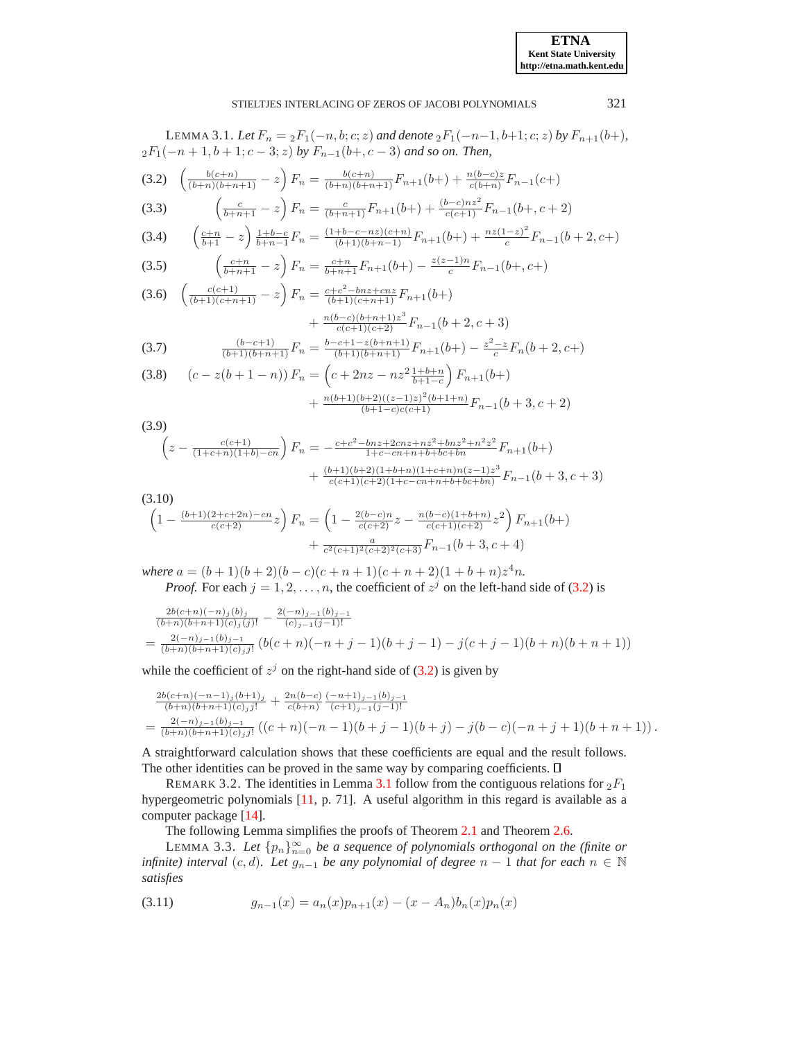<span id="page-4-7"></span><span id="page-4-3"></span><span id="page-4-0"></span>LEMMA 3.1. *Let*  $F_n = \frac{2F_1(-n, b; c; z)}{2}$  *and denote*  $\frac{2F_1(-n-1, b+1; c; z)}{2}$  *by*  $F_{n+1}(b+)$ *,*  $2F_1(-n+1, b+1; c-3; z)$  *by*  $F_{n-1}(b+, c-3)$  *and so on. Then,* (3.2)  $\left(\frac{b(c+n)}{(b+n)(b+n+1)}-z\right)F_n = \frac{b(c+n)}{(b+n)(b+n+1)}F_{n+1}(b+) + \frac{n(b-c)z}{c(b+n)}F_{n-1}(c+)$ (3.3)  $\left(\frac{c}{b+n+1} - z\right) F_n = \frac{c}{(b+n+1)} F_{n+1}(b+) + \frac{(b-c)nz^2}{c(c+1)} F_{n-1}(b+, c+2)$  $\left(\frac{c+n}{b+1}-z\right)\frac{1+b-c}{b+n-1}F_n=\frac{(1+b-c-nz)(c+n)}{(b+1)(b+n-1)}F_{n+1}(b+\right)+\frac{nz(1-z)^2}{c}$ (3.4)  $\left(\frac{c+n}{b+1}-z\right)\frac{1+b-c}{b+n-1}F_n = \frac{(1+b-c-nz)(c+n)}{(b+1)(b+n-1)}F_{n+1}(b+) + \frac{nz(1-z)}{c}F_{n-1}(b+2,c+)$  $\left(\frac{c+n}{b+n+1}-z\right)F_n = \frac{c+n}{b+n+1}F_{n+1}(b+) - \frac{z(z-1)n}{c}$ (3.5)  $\left(\frac{c+n}{b+n+1}-z\right)F_n=\frac{c+n}{b+n+1}F_{n+1}(b+)-\frac{z(z-1)n}{c}F_{n-1}(b+,c+)$ (3.6)  $\left(\frac{c(c+1)}{(b+1)(c+n+1)} - z\right) F_n = \frac{c+c^2-bnz+cnz}{(b+1)(c+n+1)} F_{n+1}(b+)$  $+\frac{n(b-c)(b+n+1)z^3}{c(c+1)(c+2)}F_{n-1}(b+2,c+3)$ (3.7)  $\frac{(b-c+1)}{(b+1)(b+n+1)}F_n = \frac{b-c+1-z(b+n+1)}{(b+1)(b+n+1)}F_{n+1}(b+) - \frac{z^2-z}{c}F_n(b+2,c+)$ (3.8)  $(c-z(b+1-n)) F_n = (c+2nz-nz^2\frac{1+b+n}{b+1-c}) F_{n+1}(b+)$ 

<span id="page-4-10"></span><span id="page-4-9"></span><span id="page-4-6"></span><span id="page-4-4"></span>
$$
(5.8) \quad (c-z(b+1-n)) \, F_n = \left( \frac{c+2nz-nz}{b+1-c} \right) F_{n+1}(b+1) + \frac{n(b+1)(b+2)((z-1)z)^2(b+1+n)}{(b+1-c)c(c+1)} F_{n-1}(b+3, c+2) \right)
$$

<span id="page-4-8"></span>
$$
(3.9)
$$
\n
$$
\left(z - \frac{c(c+1)}{(1+c+n)(1+b)-cn}\right)F_n = -\frac{c+c^2-bnz+2cnz+nz^2+bxz^2+n^2z^2}{1+c-cn+n+b+bc+bn}F_{n+1}(b+)+\n+ \frac{(b+1)(b+2)(1+b+n)(1+c+n)n(z-1)z^3}{c(c+1)(c+2)(1+c-cn+n+b+bc+bn)}F_{n-1}(b+3,c+3)
$$

<span id="page-4-5"></span>(3.10)

$$
\left(1 - \frac{(b+1)(2+c+2n)-cn}{c(c+2)}z\right)F_n = \left(1 - \frac{2(b-c)n}{c(c+2)}z - \frac{n(b-c)(1+b+n)}{c(c+1)(c+2)}z^2\right)F_{n+1}(b+)
$$

$$
+ \frac{a}{c^2(c+1)^2(c+2)^2(c+3)}F_{n-1}(b+3, c+4)
$$

*where*  $a = (b+1)(b+2)(b-c)(c+n+1)(c+n+2)(1+b+n)z^4n$ . *Proof.* For each  $j = 1, 2, ..., n$ , the coefficient of  $z<sup>j</sup>$  on the left-hand side of [\(3.2\)](#page-4-0) is

$$
\frac{2b(c+n)(-n)j(b)j}{(b+n)(b+n+1)(c)j(j)!} - \frac{2(-n)j-1(b)j-1}{(c)j-1(j-1)!}
$$
\n
$$
= \frac{2(-n)j-1(b)j-1}{(b+n)(b+n+1)(c)j(j)!} (b(c+n)(-n+j-1)(b+j-1) - j(c+j-1)(b+n)(b+n+1))
$$

while the coefficient of  $z^j$  on the right-hand side of [\(3.2\)](#page-4-0) is given by

$$
\begin{split} &\frac{2b(c+n)(-n-1)_j(b+1)_j}{(b+n)(b+n+1)(c)_jj!}+\frac{2n(b-c)}{c(b+n)}\frac{(-n+1)_{j-1}(b)_{j-1}}{(c+1)_{j-1}(j-1)!} \\ &=\frac{2(-n)_{j-1}(b)_{j-1}}{(b+n)(b+n+1)(c)_jj!}\left((c+n)(-n-1)(b+j-1)(b+j)-j(b-c)(-n+j+1)(b+n+1)\right). \end{split}
$$

A straightforward calculation shows that these coefficients are equal and the result follows. The other identities can be proved in the same way by comparing coefficients.  $\Box$ 

REMARK 3.2. The identities in Lemma [3.1](#page-3-0) follow from the contiguous relations for  ${}_2F_1$ hypergeometric polynomials [\[11,](#page-9-9) p. 71]. A useful algorithm in this regard is available as a computer package [\[14](#page-9-10)].

The following Lemma simplifies the proofs of Theorem [2.1](#page-1-0) and Theorem [2.6.](#page-2-0)

<span id="page-4-2"></span>LEMMA 3.3. Let  $\{p_n\}_{n=0}^{\infty}$  be a sequence of polynomials orthogonal on the (finite or *infinite) interval*  $(c, d)$ *. Let*  $g_{n-1}$  *be any polynomial of degree*  $n - 1$  *that for each*  $n \in \mathbb{N}$ *satisfies*

<span id="page-4-1"></span>
$$
(3.11) \t\t g_{n-1}(x) = a_n(x)p_{n+1}(x) - (x - A_n)b_n(x)p_n(x)
$$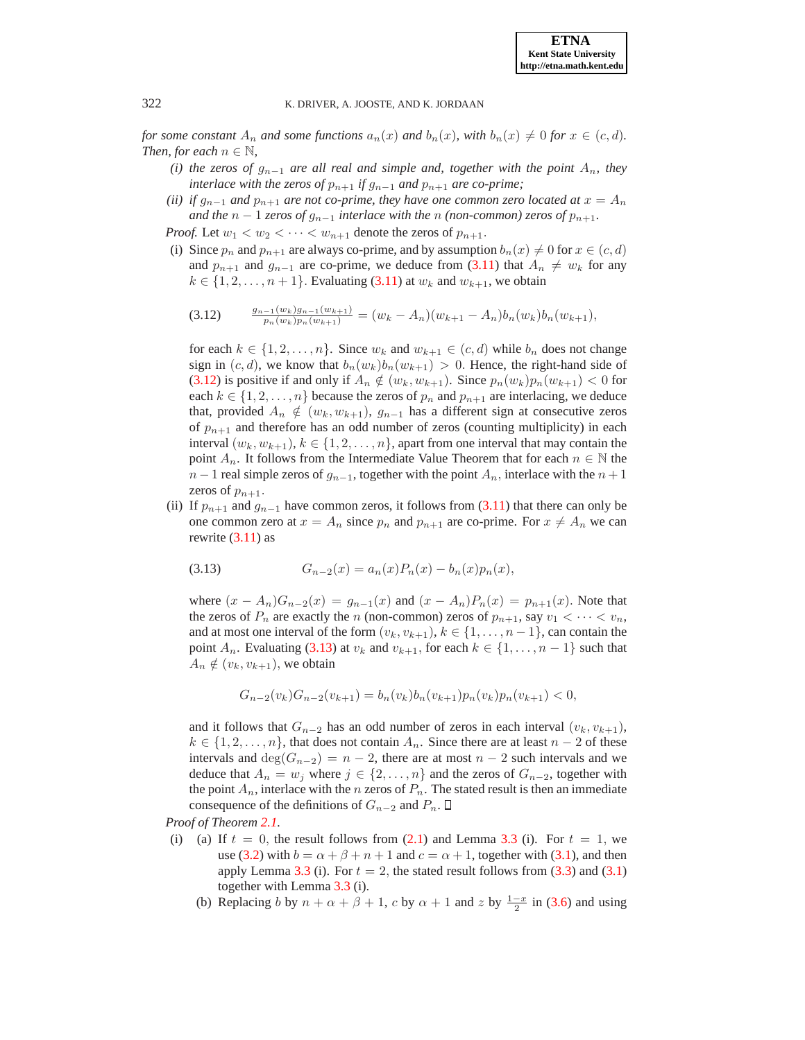*for some constant*  $A_n$  *and some functions*  $a_n(x)$  *and*  $b_n(x)$ *, with*  $b_n(x) \neq 0$  *for*  $x \in (c, d)$ *. Then, for each*  $n \in \mathbb{N}$ *,* 

- *(i) the zeros of*  $g_{n-1}$  *are all real and simple and, together with the point*  $A_n$ *, they interlace with the zeros of*  $p_{n+1}$  *if*  $g_{n-1}$  *and*  $p_{n+1}$  *are co-prime;*
- *(ii) if*  $g_{n-1}$  *and*  $p_{n+1}$  *are not co-prime, they have one common zero located at*  $x = A_n$ *and the*  $n - 1$  *zeros of*  $g_{n-1}$  *interlace with the* n *(non-common) zeros of*  $p_{n+1}$ *.*

*Proof.* Let  $w_1 < w_2 < \cdots < w_{n+1}$  denote the zeros of  $p_{n+1}$ .

(i) Since  $p_n$  and  $p_{n+1}$  are always co-prime, and by assumption  $b_n(x) \neq 0$  for  $x \in (c, d)$ and  $p_{n+1}$  and  $g_{n-1}$  are co-prime, we deduce from [\(3.11\)](#page-4-1) that  $A_n \neq w_k$  for any  $k \in \{1, 2, \ldots, n+1\}$ . Evaluating [\(3.11\)](#page-4-1) at  $w_k$  and  $w_{k+1}$ , we obtain

<span id="page-5-0"></span>
$$
(3.12) \qquad \frac{g_{n-1}(w_k)g_{n-1}(w_{k+1})}{p_n(w_k)p_n(w_{k+1})} = (w_k - A_n)(w_{k+1} - A_n)b_n(w_k)b_n(w_{k+1}),
$$

for each  $k \in \{1, 2, \ldots, n\}$ . Since  $w_k$  and  $w_{k+1} \in (c, d)$  while  $b_n$  does not change sign in  $(c, d)$ , we know that  $b_n(w_k)b_n(w_{k+1}) > 0$ . Hence, the right-hand side of [\(3.12\)](#page-5-0) is positive if and only if  $A_n \notin (w_k, w_{k+1})$ . Since  $p_n(w_k)p_n(w_{k+1}) < 0$  for each  $k \in \{1, 2, ..., n\}$  because the zeros of  $p_n$  and  $p_{n+1}$  are interlacing, we deduce that, provided  $A_n \notin (w_k, w_{k+1}), g_{n-1}$  has a different sign at consecutive zeros of  $p_{n+1}$  and therefore has an odd number of zeros (counting multiplicity) in each interval  $(w_k, w_{k+1}), k \in \{1, 2, ..., n\}$ , apart from one interval that may contain the point  $A_n$ . It follows from the Intermediate Value Theorem that for each  $n \in \mathbb{N}$  the  $n-1$  real simple zeros of  $g_{n-1}$ , together with the point  $A_n$ , interlace with the  $n+1$ zeros of  $p_{n+1}$ .

(ii) If  $p_{n+1}$  and  $g_{n-1}$  have common zeros, it follows from [\(3.11\)](#page-4-1) that there can only be one common zero at  $x = A_n$  since  $p_n$  and  $p_{n+1}$  are co-prime. For  $x \neq A_n$  we can rewrite  $(3.11)$  as

<span id="page-5-1"></span>
$$
(3.13) \tG_{n-2}(x) = a_n(x)P_n(x) - b_n(x)p_n(x),
$$

where  $(x - A_n)G_{n-2}(x) = g_{n-1}(x)$  and  $(x - A_n)P_n(x) = p_{n+1}(x)$ . Note that the zeros of  $P_n$  are exactly the n (non-common) zeros of  $p_{n+1}$ , say  $v_1 < \cdots < v_n$ , and at most one interval of the form  $(v_k, v_{k+1}), k \in \{1, \ldots, n-1\}$ , can contain the point  $A_n$ . Evaluating [\(3.13\)](#page-5-1) at  $v_k$  and  $v_{k+1}$ , for each  $k \in \{1, \ldots, n-1\}$  such that  $A_n \notin (v_k, v_{k+1}),$  we obtain

$$
G_{n-2}(v_k)G_{n-2}(v_{k+1}) = b_n(v_k)b_n(v_{k+1})p_n(v_k)p_n(v_{k+1}) < 0,
$$

and it follows that  $G_{n-2}$  has an odd number of zeros in each interval  $(v_k, v_{k+1}),$  $k \in \{1, 2, \ldots, n\}$ , that does not contain  $A_n$ . Since there are at least  $n-2$  of these intervals and  $\deg(G_{n-2}) = n-2$ , there are at most  $n-2$  such intervals and we deduce that  $A_n = w_j$  where  $j \in \{2, ..., n\}$  and the zeros of  $G_{n-2}$ , together with the point  $A_n$ , interlace with the *n* zeros of  $P_n$ . The stated result is then an immediate consequence of the definitions of  $G_{n-2}$  and  $P_n$ .  $\Box$ 

*Proof of Theorem [2.1.](#page-1-0)*

- (i) (a) If  $t = 0$ , the result follows from [\(2.1\)](#page-1-1) and Lemma [3.3](#page-4-2) (i). For  $t = 1$ , we use [\(3.2\)](#page-4-0) with  $b = \alpha + \beta + n + 1$  and  $c = \alpha + 1$ , together with [\(3.1\)](#page-3-1), and then apply Lemma [3.3](#page-4-2) (i). For  $t = 2$ , the stated result follows from [\(3.3\)](#page-4-3) and [\(3.1\)](#page-3-1) together with Lemma [3.3](#page-4-2) (i).
	- (b) Replacing b by  $n + \alpha + \beta + 1$ , c by  $\alpha + 1$  and z by  $\frac{1-x}{2}$  in [\(3.6\)](#page-4-4) and using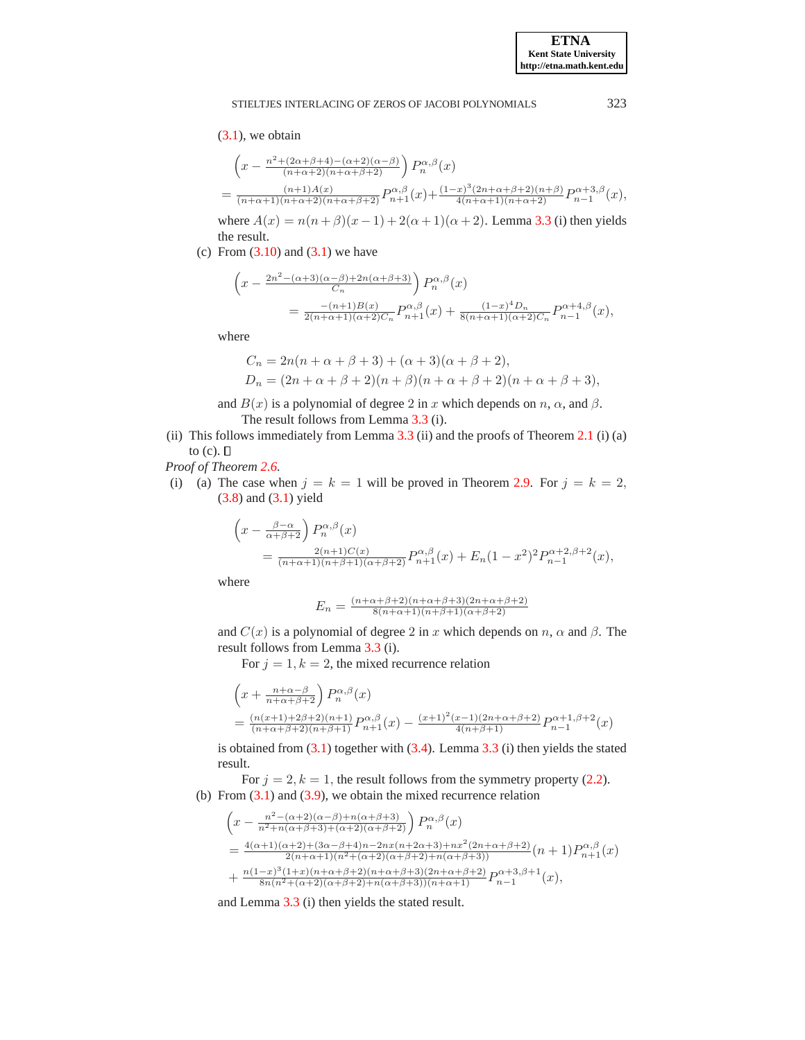## $(3.1)$ , we obtain

$$
\begin{split} &\left(x - \frac{n^2 + (2\alpha + \beta + 4) - (\alpha + 2)(\alpha - \beta)}{(n + \alpha + 2)(n + \alpha + \beta + 2)}\right) P_n^{\alpha, \beta}(x) \\ &= \frac{(n + 1)A(x)}{(n + \alpha + 1)(n + \alpha + 2)(n + \alpha + \beta + 2)} P_{n+1}^{\alpha, \beta}(x) + \frac{(1 - x)^3 (2n + \alpha + \beta + 2)(n + \beta)}{4(n + \alpha + 1)(n + \alpha + 2)} P_{n-1}^{\alpha + 3, \beta}(x), \end{split}
$$

where  $A(x) = n(n+\beta)(x-1) + 2(\alpha+1)(\alpha+2)$ . Lemma [3.3](#page-4-2) (i) then yields the result.

(c) From  $(3.10)$  and  $(3.1)$  we have

$$
\begin{split} \left(x-\frac{2n^2-(\alpha+3)(\alpha-\beta)+2n(\alpha+\beta+3)}{C_n}\right)P_n^{\alpha,\beta}(x)\\ =\frac{-(n+1)B(x)}{2(n+\alpha+1)(\alpha+2)C_n}P_{n+1}^{\alpha,\beta}(x)+\frac{(1-x)^4D_n}{8(n+\alpha+1)(\alpha+2)C_n}P_{n-1}^{\alpha+4,\beta}(x), \end{split}
$$

where

$$
C_n = 2n(n + \alpha + \beta + 3) + (\alpha + 3)(\alpha + \beta + 2),
$$
  
\n
$$
D_n = (2n + \alpha + \beta + 2)(n + \beta)(n + \alpha + \beta + 2)(n + \alpha + \beta + 3),
$$

and  $B(x)$  is a polynomial of degree 2 in x which depends on n,  $\alpha$ , and  $\beta$ . The result follows from Lemma [3.3](#page-4-2) (i).

(ii) This follows immediately from Lemma  $3.3$  (ii) and the proofs of Theorem  $2.1$  (i) (a) to  $(c)$ .  $\square$ 

*Proof of Theorem [2.6.](#page-2-0)*

(i) (a) The case when  $j = k = 1$  will be proved in Theorem [2.9.](#page-3-2) For  $j = k = 2$ , [\(3.8\)](#page-4-6) and [\(3.1\)](#page-3-1) yield

$$
\begin{aligned} \left(x - \frac{\beta - \alpha}{\alpha + \beta + 2}\right) P_n^{\alpha, \beta}(x) \\ &= \frac{2(n+1)C(x)}{(n+\alpha+1)(n+\beta+1)(\alpha+\beta+2)} P_{n+1}^{\alpha, \beta}(x) + E_n (1-x^2)^2 P_{n-1}^{\alpha+2, \beta+2}(x), \end{aligned}
$$

where

$$
E_n = \frac{(n+\alpha+\beta+2)(n+\alpha+\beta+3)(2n+\alpha+\beta+2)}{8(n+\alpha+1)(n+\beta+1)(\alpha+\beta+2)}
$$

and  $C(x)$  is a polynomial of degree 2 in x which depends on n,  $\alpha$  and  $\beta$ . The result follows from Lemma [3.3](#page-4-2) (i).

For  $j = 1, k = 2$ , the mixed recurrence relation

$$
\begin{aligned} &\left(x + \frac{n + \alpha - \beta}{n + \alpha + \beta + 2}\right) P_n^{\alpha, \beta}(x) \\ &= \frac{(n(x+1) + 2\beta + 2)(n+1)}{(n + \alpha + \beta + 2)(n + \beta + 1)} P_{n+1}^{\alpha, \beta}(x) - \frac{(x+1)^2(x-1)(2n + \alpha + \beta + 2)}{4(n + \beta + 1)} P_{n-1}^{\alpha + 1, \beta + 2}(x) \end{aligned}
$$

is obtained from  $(3.1)$  together with  $(3.4)$ . Lemma  $3.3$  (i) then yields the stated result.

For  $j = 2, k = 1$ , the result follows from the symmetry property [\(2.2\)](#page-2-1). (b) From  $(3.1)$  and  $(3.9)$ , we obtain the mixed recurrence relation

$$
\begin{split}\n&\left(x - \frac{n^2 - (\alpha + 2)(\alpha - \beta) + n(\alpha + \beta + 3)}{n^2 + n(\alpha + \beta + 3) + (\alpha + 2)(\alpha + \beta + 2)}\right) P_n^{\alpha, \beta}(x) \\
&= \frac{4(\alpha + 1)(\alpha + 2) + (3\alpha - \beta + 4)n - 2nx(n + 2\alpha + 3) + nx^2(2n + \alpha + \beta + 2)}{2(n + \alpha + 1)(n^2 + (\alpha + 2)(\alpha + \beta + 2) + n(\alpha + \beta + 3))} (n + 1) P_{n+1}^{\alpha, \beta}(x) \\
&+ \frac{n(1-x)^3(1+x)(n + \alpha + \beta + 2)(n + \alpha + \beta + 3)(2n + \alpha + \beta + 2)}{8n(n^2 + (\alpha + 2)(\alpha + \beta + 2) + n(\alpha + \beta + 3))(n + \alpha + 1)} P_{n-1}^{\alpha + 3, \beta + 1}(x),\n\end{split}
$$

and Lemma [3.3](#page-4-2) (i) then yields the stated result.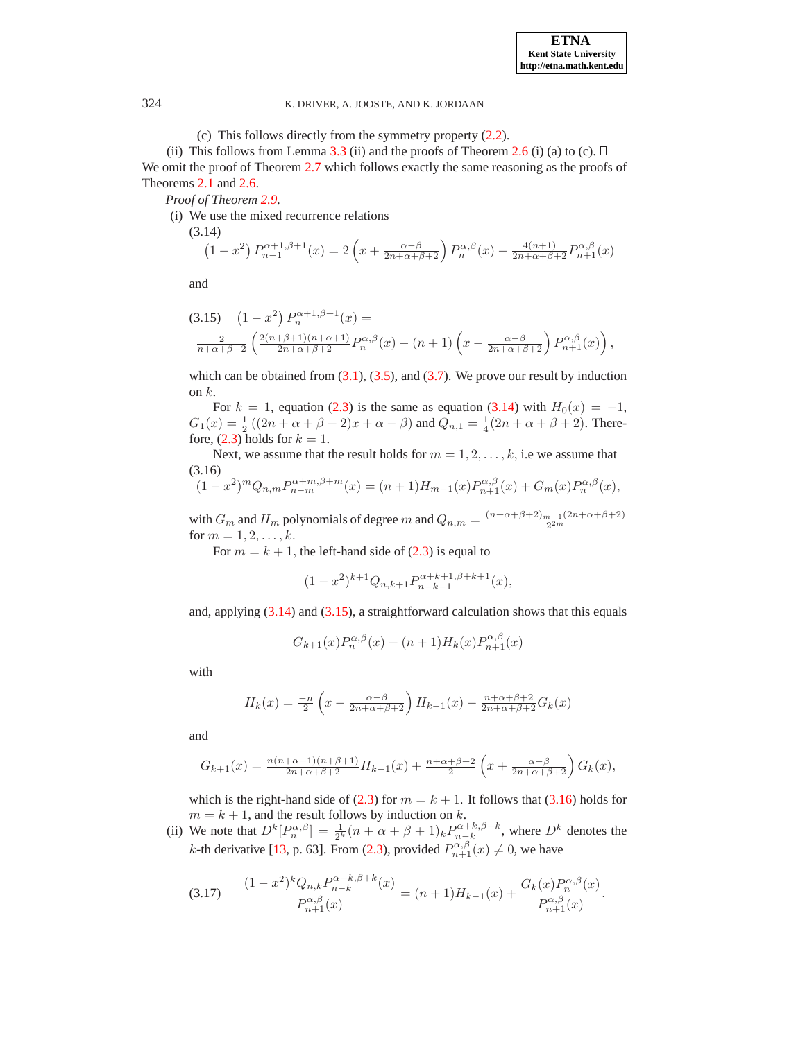(c) This follows directly from the symmetry property [\(2.2\)](#page-2-1).

(ii) This follows from Lemma [3.3](#page-4-2) (ii) and the proofs of Theorem [2.6](#page-2-0) (i) (a) to (c).  $\Box$ We omit the proof of Theorem [2.7](#page-2-2) which follows exactly the same reasoning as the proofs of Theorems [2.1](#page-1-0) and [2.6.](#page-2-0)

*Proof of Theorem [2.9.](#page-3-2)*

(i) We use the mixed recurrence relations

$$
(3.14)
$$

<span id="page-7-0"></span>
$$
(1 - x^2) P_{n-1}^{\alpha+1,\beta+1}(x) = 2\left(x + \frac{\alpha-\beta}{2n+\alpha+\beta+2}\right) P_n^{\alpha,\beta}(x) - \frac{4(n+1)}{2n+\alpha+\beta+2} P_{n+1}^{\alpha,\beta}(x)
$$

and

<span id="page-7-1"></span>
$$
(3.15) \quad (1-x^2) P_n^{\alpha+1,\beta+1}(x) =
$$
  

$$
\frac{2}{n+\alpha+\beta+2} \left( \frac{2(n+\beta+1)(n+\alpha+1)}{2n+\alpha+\beta+2} P_n^{\alpha,\beta}(x) - (n+1) \left( x - \frac{\alpha-\beta}{2n+\alpha+\beta+2} \right) P_{n+1}^{\alpha,\beta}(x) \right),
$$

which can be obtained from  $(3.1)$ ,  $(3.5)$ , and  $(3.7)$ . We prove our result by induction on  $k$ .

For  $k = 1$ , equation [\(2.3\)](#page-3-3) is the same as equation [\(3.14\)](#page-7-0) with  $H_0(x) = -1$ ,  $G_1(x) = \frac{1}{2} ((2n + \alpha + \beta + 2)x + \alpha - \beta)$  and  $Q_{n,1} = \frac{1}{4}(2n + \alpha + \beta + 2)$ . Therefore,  $(2.3)$  holds for  $k = 1$ .

Next, we assume that the result holds for  $m = 1, 2, \dots, k$ , i.e we assume that (3.16)

<span id="page-7-2"></span>
$$
(1-x^2)^m Q_{n,m} P_{n-m}^{\alpha+m,\beta+m}(x) = (n+1)H_{m-1}(x) P_{n+1}^{\alpha,\beta}(x) + G_m(x) P_n^{\alpha,\beta}(x),
$$

with  $G_m$  and  $H_m$  polynomials of degree m and  $Q_{n,m} = \frac{(n+\alpha+\beta+2)_{m-1}(2n+\alpha+\beta+2)}{2^{2m}}$ for  $m = 1, 2, ..., k$ .

For  $m = k + 1$ , the left-hand side of [\(2.3\)](#page-3-3) is equal to

$$
(1-x^2)^{k+1}Q_{n,k+1}P_{n-k-1}^{\alpha+k+1,\beta+k+1}(x),
$$

and, applying  $(3.14)$  and  $(3.15)$ , a straightforward calculation shows that this equals

$$
G_{k+1}(x)P_n^{\alpha,\beta}(x) + (n+1)H_k(x)P_{n+1}^{\alpha,\beta}(x)
$$

with

$$
H_k(x) = \frac{-n}{2} \left( x - \frac{\alpha - \beta}{2n + \alpha + \beta + 2} \right) H_{k-1}(x) - \frac{n + \alpha + \beta + 2}{2n + \alpha + \beta + 2} G_k(x)
$$

and

$$
G_{k+1}(x)=\tfrac{n(n+\alpha+1)(n+\beta+1)}{2n+\alpha+\beta+2}H_{k-1}(x)+\tfrac{n+\alpha+\beta+2}{2}\left(x+\tfrac{\alpha-\beta}{2n+\alpha+\beta+2}\right)G_k(x),
$$

which is the right-hand side of [\(2.3\)](#page-3-3) for  $m = k + 1$ . It follows that [\(3.16\)](#page-7-2) holds for  $m = k + 1$ , and the result follows by induction on k.

(ii) We note that  $D^k[P_n^{\alpha,\beta}] = \frac{1}{2^k}(n+\alpha+\beta+1)_k P_{n-k}^{\alpha+k,\beta+k}$ , where  $D^k$  denotes the *k*-th derivative [\[13,](#page-9-0) p. 63]. From [\(2.3\)](#page-3-3), provided  $P_{n+1}^{\alpha,\beta}(x) \neq 0$ , we have

<span id="page-7-3"></span>
$$
(3.17) \qquad \frac{(1-x^2)^k Q_{n,k} P_{n-k}^{\alpha+k,\beta+k}(x)}{P_{n+1}^{\alpha,\beta}(x)} = (n+1)H_{k-1}(x) + \frac{G_k(x) P_n^{\alpha,\beta}(x)}{P_{n+1}^{\alpha,\beta}(x)}.
$$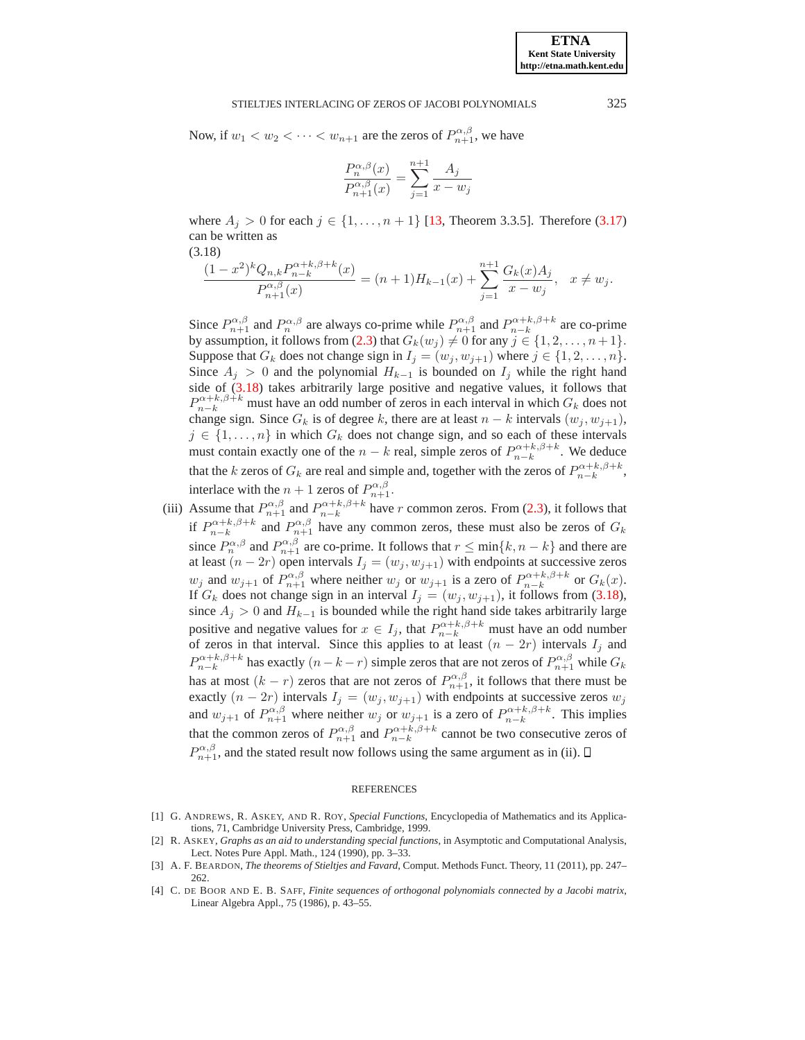#### STIELTJES INTERLACING OF ZEROS OF JACOBI POLYNOMIALS 325

Now, if  $w_1 < w_2 < \cdots < w_{n+1}$  are the zeros of  $P_{n+1}^{\alpha,\beta}$ , we have

$$
\frac{P_n^{\alpha,\beta}(x)}{P_{n+1}^{\alpha,\beta}(x)} = \sum_{j=1}^{n+1} \frac{A_j}{x - w_j}
$$

where  $A_i > 0$  for each  $j \in \{1, ..., n+1\}$  [\[13](#page-9-0), Theorem 3.3.5]. Therefore [\(3.17\)](#page-7-3) can be written as

(3.18)

<span id="page-8-4"></span>
$$
\frac{(1-x^2)^k Q_{n,k} P_{n-k}^{\alpha+k,\beta+k}(x)}{P_{n+1}^{\alpha,\beta}(x)}=(n+1)H_{k-1}(x)+\sum_{j=1}^{n+1}\frac{G_k(x)A_j}{x-w_j},\quad x\neq w_j.
$$

Since  $P_{n+1}^{\alpha,\beta}$  and  $P_n^{\alpha,\beta}$  are always co-prime while  $P_{n+1}^{\alpha,\beta}$  and  $P_{n-k}^{\alpha+k,\beta+k}$  are co-prime by assumption, it follows from [\(2.3\)](#page-3-3) that  $G_k(w_j) \neq 0$  for any  $j \in \{1, 2, \ldots, n+1\}.$ Suppose that  $G_k$  does not change sign in  $I_j = (w_j, w_{j+1})$  where  $j \in \{1, 2, ..., n\}$ . Since  $A_j > 0$  and the polynomial  $H_{k-1}$  is bounded on  $I_j$  while the right hand side of [\(3.18\)](#page-8-4) takes arbitrarily large positive and negative values, it follows that  $P_{n-k}^{\alpha+k,\beta+k}$  must have an odd number of zeros in each interval in which  $G_k$  does not change sign. Since  $G_k$  is of degree k, there are at least  $n - k$  intervals  $(w_j, w_{j+1})$ ,  $j \in \{1, \ldots, n\}$  in which  $G_k$  does not change sign, and so each of these intervals must contain exactly one of the  $n - k$  real, simple zeros of  $P_{n-k}^{\alpha+k,\beta+k}$ . We deduce that the k zeros of  $G_k$  are real and simple and, together with the zeros of  $P_{n-k}^{\alpha+k,\beta+k}$ , interlace with the  $n+1$  zeros of  $P_{n+1}^{\alpha,\beta}$ .

(iii) Assume that  $P_{n+1}^{\alpha,\beta}$  and  $P_{n-k}^{\alpha+k,\beta+k}$  have r common zeros. From [\(2.3\)](#page-3-3), it follows that if  $P_{n-k}^{\alpha+k,\beta+k}$  and  $P_{n+1}^{\alpha,\beta}$  have any common zeros, these must also be zeros of  $G_k$ since  $P_n^{\alpha,\beta}$  and  $P_{n+1}^{\alpha,\beta}$  are co-prime. It follows that  $r \le \min\{k, n-k\}$  and there are at least  $(n - 2r)$  open intervals  $I_j = (w_j, w_{j+1})$  with endpoints at successive zeros  $w_j$  and  $w_{j+1}$  of  $P_{n+1}^{\alpha,\beta}$  where neither  $w_j$  or  $w_{j+1}$  is a zero of  $P_{n-k}^{\alpha+k,\beta+k}$  or  $G_k(x)$ . If  $G_k$  does not change sign in an interval  $I_j = (w_j, w_{j+1})$ , it follows from [\(3.18\)](#page-8-4), since  $A_j > 0$  and  $H_{k-1}$  is bounded while the right hand side takes arbitrarily large positive and negative values for  $x \in I_j$ , that  $P_{n-k}^{\alpha+k,\beta+k}$  must have an odd number of zeros in that interval. Since this applies to at least  $(n - 2r)$  intervals  $I_j$  and  $P_{n-k}^{\alpha+k,\beta+k}$  has exactly  $(n-k-r)$  simple zeros that are not zeros of  $P_{n+1}^{\alpha,\beta}$  while  $G_k$ has at most  $(k - r)$  zeros that are not zeros of  $P_{n+1}^{\alpha,\beta}$ , it follows that there must be exactly  $(n - 2r)$  intervals  $I_j = (w_j, w_{j+1})$  with endpoints at successive zeros  $w_j$ and  $w_{j+1}$  of  $P_{n+1}^{\alpha,\beta}$  where neither  $w_j$  or  $w_{j+1}$  is a zero of  $P_{n-k}^{\alpha+k,\beta+k}$ . This implies that the common zeros of  $P_{n+1}^{\alpha,\beta}$  and  $P_{n-k}^{\alpha+k,\beta+k}$  cannot be two consecutive zeros of  $P_{n+1}^{\alpha,\beta}$ , and the stated result now follows using the same argument as in (ii).

#### REFERENCES

- <span id="page-8-3"></span>[1] G. ANDREWS, R. ASKEY, AND R. ROY, *Special Functions*, Encyclopedia of Mathematics and its Applications, 71, Cambridge University Press, Cambridge, 1999.
- <span id="page-8-2"></span>[2] R. ASKEY, *Graphs as an aid to understanding special functions*, in Asymptotic and Computational Analysis, Lect. Notes Pure Appl. Math., 124 (1990), pp. 3–33.
- <span id="page-8-0"></span>[3] A. F. BEARDON, *The theorems of Stieltjes and Favard*, Comput. Methods Funct. Theory, 11 (2011), pp. 247– 262.
- <span id="page-8-1"></span>[4] C. DE BOOR AND E. B. SAFF, *Finite sequences of orthogonal polynomials connected by a Jacobi matrix*, Linear Algebra Appl., 75 (1986), p. 43–55.